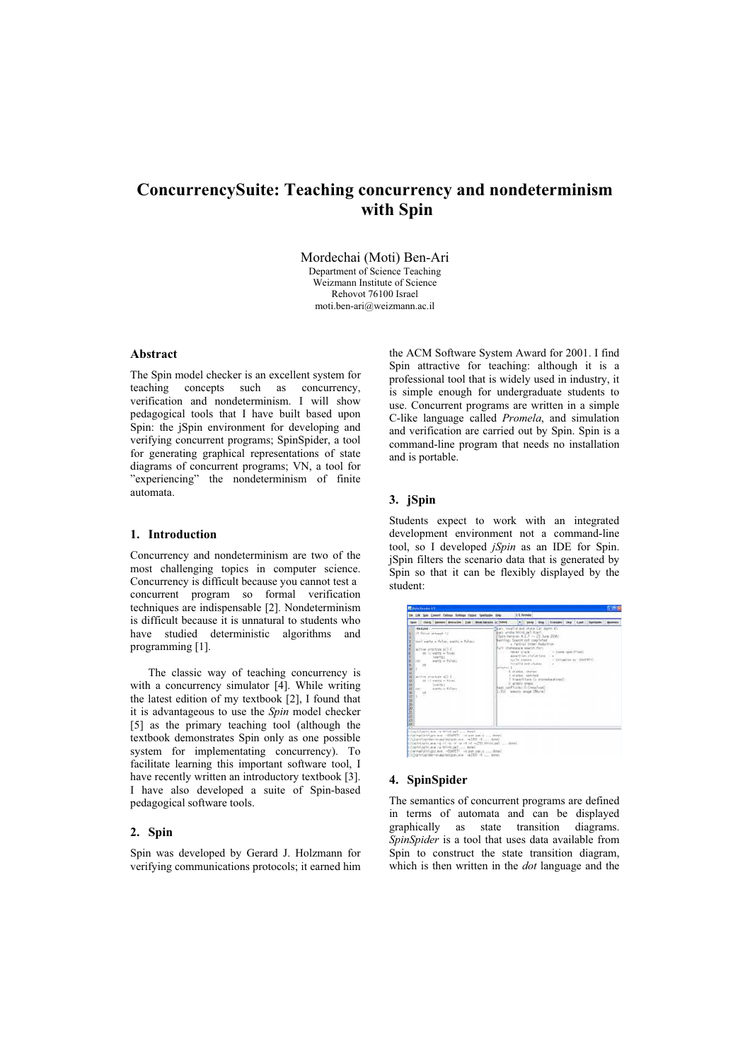# **ConcurrencySuite: Teaching concurrency and nondeterminism with Spin**

Mordechai (Moti) Ben-Ari Department of Science Teaching Weizmann Institute of Science Rehovot 76100 Israel moti.ben-ari@weizmann.ac.il

# **Abstract**

The Spin model checker is an excellent system for teaching concepts such as concurrency, verification and nondeterminism. I will show pedagogical tools that I have built based upon Spin: the jSpin environment for developing and verifying concurrent programs; SpinSpider, a tool for generating graphical representations of state diagrams of concurrent programs; VN, a tool for "experiencing" the nondeterminism of finite automata.

### **1. Introduction**

Concurrency and nondeterminism are two of the most challenging topics in computer science. Concurrency is difficult because you cannot test a concurrent program so formal verification techniques are indispensable [2]. Nondeterminism is difficult because it is unnatural to students who have studied deterministic algorithms and programming [1].

The classic way of teaching concurrency is with a concurrency simulator [4]. While writing the latest edition of my textbook [2], I found that it is advantageous to use the *Spin* model checker [5] as the primary teaching tool (although the textbook demonstrates Spin only as one possible system for implementating concurrency). To facilitate learning this important software tool, I have recently written an introductory textbook [3]. I have also developed a suite of Spin-based pedagogical software tools.

### **2. Spin**

Spin was developed by Gerard J. Holzmann for verifying communications protocols; it earned him the ACM Software System Award for 2001. I find Spin attractive for teaching: although it is a professional tool that is widely used in industry, it is simple enough for undergraduate students to use. Concurrent programs are written in a simple C-like language called *Promela*, and simulation and verification are carried out by Spin. Spin is a command-line program that needs no installation and is portable.

### **3. jSpin**

Students expect to work with an integrated development environment not a command-line tool, so I developed *jSpin* as an IDE for Spin. jSpin filters the scenario data that is generated by Spin so that it can be flexibly displayed by the student:

| <b>Clock Sendern breverise trad Montifaceured</b>                                                                                                                                                                                                                                                                                                              | . Verty Die   Hender   Char   Land       |
|----------------------------------------------------------------------------------------------------------------------------------------------------------------------------------------------------------------------------------------------------------------------------------------------------------------------------------------------------------------|------------------------------------------|
| medged : . -                                                                                                                                                                                                                                                                                                                                                   | ham mustle and state (at more 4)         |
| I* fining attempt */                                                                                                                                                                                                                                                                                                                                           | Ergot, East Scient admissioners          |
| 社社部の主などにもまま                                                                                                                                                                                                                                                                                                                                                    | [Silv Warston #.1.2 - 23 June 2000]      |
| lim) waitz = false, wattz = Nilse;                                                                                                                                                                                                                                                                                                                             | Marring: Search not completed.           |
| active procture all 4-1                                                                                                                                                                                                                                                                                                                                        | Partial Drder Eaductive-                 |
| do to ageta a truer                                                                                                                                                                                                                                                                                                                                            | Full statement search for:               |
| THE RESIDENCE                                                                                                                                                                                                                                                                                                                                                  | $-$ (rose spectrum)                      |
| worth = false;                                                                                                                                                                                                                                                                                                                                                 | The Course Cale Committee                |
| is:                                                                                                                                                                                                                                                                                                                                                            | accorting violations                     |
| active proctops of 1.0                                                                                                                                                                                                                                                                                                                                         | dutile identity (1)                      |
| 日本共和国の日本の日本                                                                                                                                                                                                                                                                                                                                                    | - Littesther by -OLIFETY                 |
| (6) 11 wants = title:                                                                                                                                                                                                                                                                                                                                          | tendited and others.                     |
| Technology (1)                                                                                                                                                                                                                                                                                                                                                 | emplot \$ (procession)                   |
| wirtts w fallet.                                                                                                                                                                                                                                                                                                                                               | 4 states, stored                         |
| <b>SECTION</b>                                                                                                                                                                                                                                                                                                                                                 | L Atotac, agriculture                    |
| anything the fall                                                                                                                                                                                                                                                                                                                                              | 7. Ingrant Lane Ca. anarasica status (C) |
| w                                                                                                                                                                                                                                                                                                                                                              | O attack steer.                          |
| . . <del>. .</del>                                                                                                                                                                                                                                                                                                                                             | George County is contributed in          |
| <b>A</b>                                                                                                                                                                                                                                                                                                                                                       | L.M.C. assorts image (fitula)            |
| criministricate is mortant  dated<br>Intelligencer was the 1954-201 was painted and the<br>(COpyrrhensualistant ave. - +2000 -X  save)<br>tempt  feather fifth- in it is in the first season of an interface<br>crimebilages are no third pal  move<br>immet  t.res.com on 1358251  ana.com/witing/agricultural<br>Citygorianter-masterization -4200 -V  drait |                                          |

# **4. SpinSpider**

The semantics of concurrent programs are defined in terms of automata and can be displayed graphically as state transition diagrams. *SpinSpider* is a tool that uses data available from Spin to construct the state transition diagram, which is then written in the *dot* language and the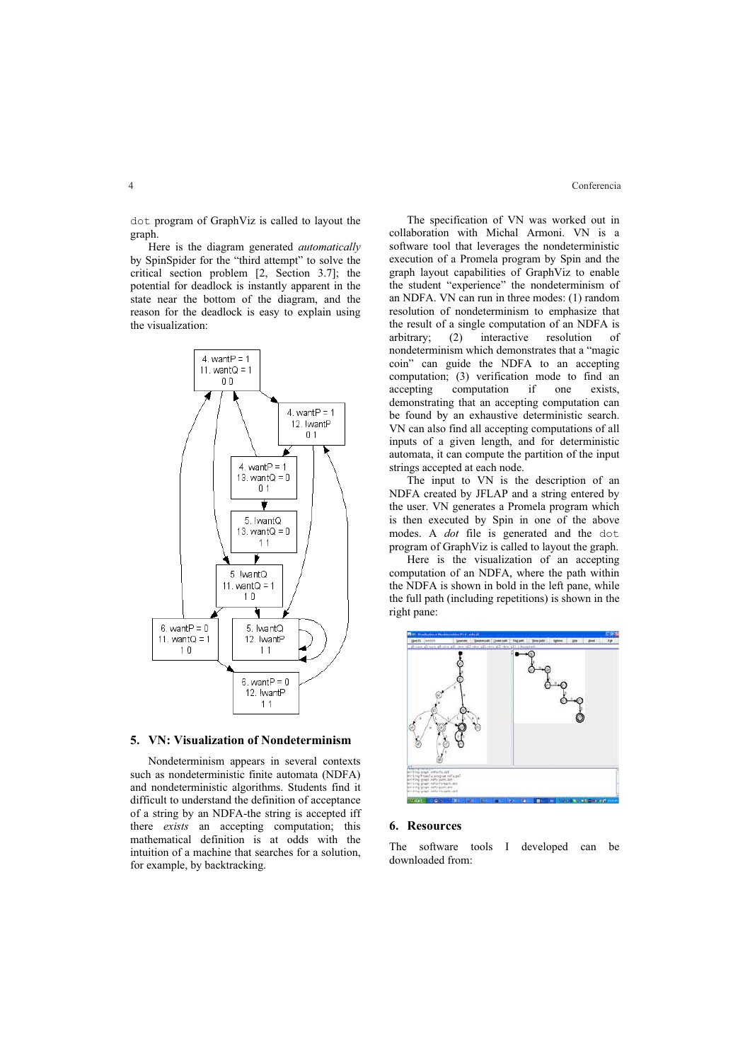dot program of GraphViz is called to layout the graph.

Here is the diagram generated *automatically* by SpinSpider for the "third attempt" to solve the critical section problem [2, Section 3.7]; the potential for deadlock is instantly apparent in the state near the bottom of the diagram, and the reason for the deadlock is easy to explain using the visualization:



#### **5. VN: Visualization of Nondeterminism**

Nondeterminism appears in several contexts such as nondeterministic finite automata (NDFA) and nondeterministic algorithms. Students find it difficult to understand the definition of acceptance of a string by an NDFA-the string is accepted iff there *exists* an accepting computation; this mathematical definition is at odds with the intuition of a machine that searches for a solution, for example, by backtracking.

The specification of VN was worked out in collaboration with Michal Armoni. VN is a software tool that leverages the nondeterministic execution of a Promela program by Spin and the graph layout capabilities of GraphViz to enable the student "experience" the nondeterminism of an NDFA. VN can run in three modes: (1) random resolution of nondeterminism to emphasize that the result of a single computation of an NDFA is<br>arbitrary; (2) interactive resolution of interactive resolution of nondeterminism which demonstrates that a "magic coin" can guide the NDFA to an accepting computation; (3) verification mode to find an accepting computation if one exists, accepting computation if one exists, demonstrating that an accepting computation can be found by an exhaustive deterministic search. VN can also find all accepting computations of all inputs of a given length, and for deterministic automata, it can compute the partition of the input strings accepted at each node.

The input to VN is the description of an NDFA created by JFLAP and a string entered by the user. VN generates a Promela program which is then executed by Spin in one of the above modes. A *dot* file is generated and the dot program of GraphViz is called to layout the graph.

Here is the visualization of an accepting computation of an NDFA, where the path within the NDFA is shown in bold in the left pane, while the full path (including repetitions) is shown in the right pane:



#### **6. Resources**

The software tools I developed can be downloaded from: